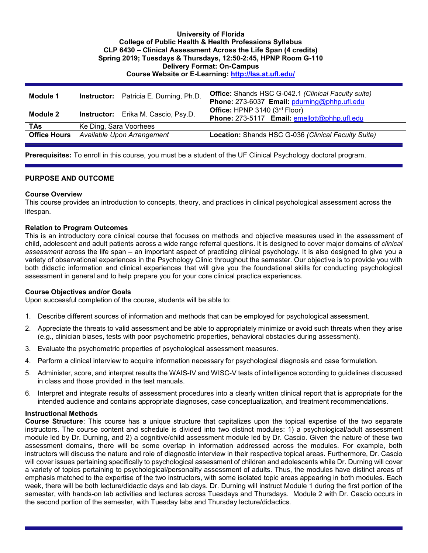#### **University of Florida College of Public Health & Health Professions Syllabus CLP 6430 – Clinical Assessment Across the Life Span (4 credits) Spring 2019; Tuesdays & Thursdays, 12:50-2:45, HPNP Room G-110 Delivery Format: On-Campus Course Website or E-Learning:<http://lss.at.ufl.edu/>**

| Module 1            | <b>Instructor:</b> Patricia E. Durning, Ph.D. | <b>Office:</b> Shands HSC G-042.1 (Clinical Faculty suite)<br>Phone: 273-6037 Email: pdurning@phhp.ufl.edu |
|---------------------|-----------------------------------------------|------------------------------------------------------------------------------------------------------------|
| Module 2            | <b>Instructor:</b> Erika M. Cascio, Psy.D.    | Office: HPNP 3140 (3rd Floor)<br>Phone: 273-5117 Email: emellott@phhp.ufl.edu                              |
| <b>TAs</b>          | Ke Ding, Sara Voorhees                        |                                                                                                            |
| <b>Office Hours</b> | Available Upon Arrangement                    | Location: Shands HSC G-036 (Clinical Faculty Suite)                                                        |

**Prerequisites:** To enroll in this course, you must be a student of the UF Clinical Psychology doctoral program.

#### **PURPOSE AND OUTCOME**

#### **Course Overview**

This course provides an introduction to concepts, theory, and practices in clinical psychological assessment across the lifespan.

#### **Relation to Program Outcomes**

This is an introductory core clinical course that focuses on methods and objective measures used in the assessment of child, adolescent and adult patients across a wide range referral questions. It is designed to cover major domains of *clinical assessment* across the life span – an important aspect of practicing clinical psychology. It is also designed to give you a variety of observational experiences in the Psychology Clinic throughout the semester. Our objective is to provide you with both didactic information and clinical experiences that will give you the foundational skills for conducting psychological assessment in general and to help prepare you for your core clinical practica experiences.

#### **Course Objectives and/or Goals**

Upon successful completion of the course, students will be able to:

- 1. Describe different sources of information and methods that can be employed for psychological assessment.
- 2. Appreciate the threats to valid assessment and be able to appropriately minimize or avoid such threats when they arise (e.g., clinician biases, tests with poor psychometric properties, behavioral obstacles during assessment).
- 3. Evaluate the psychometric properties of psychological assessment measures.
- 4. Perform a clinical interview to acquire information necessary for psychological diagnosis and case formulation.
- 5. Administer, score, and interpret results the WAIS-IV and WISC-V tests of intelligence according to guidelines discussed in class and those provided in the test manuals.
- 6. Interpret and integrate results of assessment procedures into a clearly written clinical report that is appropriate for the intended audience and contains appropriate diagnoses, case conceptualization, and treatment recommendations.

#### **Instructional Methods**

**Course Structure**: This course has a unique structure that capitalizes upon the topical expertise of the two separate instructors. The course content and schedule is divided into two distinct modules: 1) a psychological/adult assessment module led by Dr. Durning, and 2) a cognitive/child assessment module led by Dr. Cascio. Given the nature of these two assessment domains, there will be some overlap in information addressed across the modules. For example, both instructors will discuss the nature and role of diagnostic interview in their respective topical areas. Furthermore, Dr. Cascio will cover issues pertaining specifically to psychological assessment of children and adolescents while Dr. Durning will cover a variety of topics pertaining to psychological/personality assessment of adults. Thus, the modules have distinct areas of emphasis matched to the expertise of the two instructors, with some isolated topic areas appearing in both modules. Each week, there will be both lecture/didactic days and lab days. Dr. Durning will instruct Module 1 during the first portion of the semester, with hands-on lab activities and lectures across Tuesdays and Thursdays. Module 2 with Dr. Cascio occurs in the second portion of the semester, with Tuesday labs and Thursday lecture/didactics.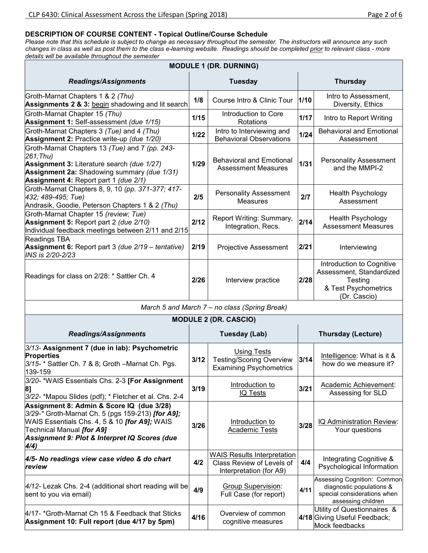## **DESCRIPTION OF COURSE CONTENT - Topical Outline/Course Schedule**

*Please note that this schedule is subject to change as necessary throughout the semester. The instructors will announce any such changes in class as well as post them to the class e-learning website. Readings should be completed prior to relevant class - more details will be available throughout the semester*

| <b>MODULE 1 (DR. DURNING)</b>                                                                                                                                                                                                                |                                                                     |                                                                                            |                 |                                                                                                              |  |  |  |  |  |  |  |  |
|----------------------------------------------------------------------------------------------------------------------------------------------------------------------------------------------------------------------------------------------|---------------------------------------------------------------------|--------------------------------------------------------------------------------------------|-----------------|--------------------------------------------------------------------------------------------------------------|--|--|--|--|--|--|--|--|
| <b>Readings/Assignments</b>                                                                                                                                                                                                                  |                                                                     | <b>Tuesday</b>                                                                             | <b>Thursday</b> |                                                                                                              |  |  |  |  |  |  |  |  |
| Groth-Marnat Chapters 1 & 2 (Thu)<br>Assignments 2 & 3: begin shadowing and lit search                                                                                                                                                       | 1/8                                                                 | Course Intro & Clinic Tour                                                                 | 1/10            | Intro to Assessment,<br>Diversity, Ethics                                                                    |  |  |  |  |  |  |  |  |
| Groth-Marnat Chapter 15 (Thu)<br>Assignment 1: Self-assessment (due 1/15)                                                                                                                                                                    | 1/15                                                                | Introduction to Core<br>Rotations                                                          | 1/17            | Intro to Report Writing                                                                                      |  |  |  |  |  |  |  |  |
| Groth-Marnat Chapters 3 (Tue) and 4 (Thu)<br>Assignment 2: Practice write-up (due 1/20)                                                                                                                                                      | Intro to Interviewing and<br>1/22<br><b>Behavioral Observations</b> |                                                                                            |                 | <b>Behavioral and Emotional</b><br>Assessment                                                                |  |  |  |  |  |  |  |  |
| Groth-Marnat Chapters 13 (Tue) and 7 (pp. 243-<br>$261$ ; Thu)<br>Assignment 3: Literature search (due 1/27)<br>Assignment 2a: Shadowing summary (due 1/31)<br>Assignment 4: Report part 1 (due 2/1)                                         | 1/29                                                                | <b>Behavioral and Emotional</b><br><b>Assessment Measures</b>                              | $1/31$          | <b>Personality Assessment</b><br>and the MMPI-2                                                              |  |  |  |  |  |  |  |  |
| Groth-Marnat Chapters 8, 9, 10 (pp. 371-377; 417-<br>432; 489-495; Tue)<br>Andrasik, Goodie, Peterson Chapters 1 & 2 (Thu)                                                                                                                   | 2/5                                                                 | <b>Personality Assessment</b><br>Measures                                                  | 2/7             | <b>Health Psychology</b><br>Assessment                                                                       |  |  |  |  |  |  |  |  |
| Groth-Marnat Chapter 15 (review; Tue)<br><b>Assignment 5: Report part 2 (due 2/10)</b><br>Individual feedback meetings between 2/11 and 2/15                                                                                                 | 2/12                                                                | Report Writing: Summary,<br>Integration, Recs.                                             | 2/14            | Health Psychology<br><b>Assessment Measures</b>                                                              |  |  |  |  |  |  |  |  |
| Readings TBA<br>Assignment 6: Report part 3 (due 2/19 - tentative)<br>INS is 2/20-2/23                                                                                                                                                       | 2/19                                                                | <b>Projective Assessment</b>                                                               | 2/21            | Interviewing                                                                                                 |  |  |  |  |  |  |  |  |
| Readings for class on 2/28: * Sattler Ch. 4                                                                                                                                                                                                  | 2/26                                                                | Interview practice                                                                         | 2/28            | Introduction to Cognitive<br>Assessment, Standardized<br>Testing<br>& Test Psychometrics<br>(Dr. Cascio)     |  |  |  |  |  |  |  |  |
|                                                                                                                                                                                                                                              |                                                                     | March 5 and March 7 - no class (Spring Break)                                              |                 |                                                                                                              |  |  |  |  |  |  |  |  |
|                                                                                                                                                                                                                                              |                                                                     | <b>MODULE 2 (DR. CASCIO)</b>                                                               |                 |                                                                                                              |  |  |  |  |  |  |  |  |
| <b>Readings/Assignments</b>                                                                                                                                                                                                                  |                                                                     | <b>Tuesday (Lab)</b>                                                                       |                 | <b>Thursday (Lecture)</b>                                                                                    |  |  |  |  |  |  |  |  |
| 3/13- Assignment 7 (due in lab): Psychometric<br><b>Properties</b><br>3/15- * Sattler Ch. 7 & 8; Groth - Marnat Ch. Pgs.<br>139-159                                                                                                          | 3/12                                                                | <b>Using Tests</b><br><b>Testing/Scoring Overview</b><br><b>Examining Psychometrics</b>    | $3/14$          | Intelligence: What is it &<br>how do we measure it?                                                          |  |  |  |  |  |  |  |  |
| 3/20- *WAIS Essentials Chs. 2-3 [For Assignment<br>8]<br>3/22- *Mapou Slides (pdf); * Fletcher et al. Chs. 2-4                                                                                                                               | 3/19                                                                | Introduction to<br>IQ Tests                                                                | 3/21            | Academic Achievement:<br>Assessing for SLD                                                                   |  |  |  |  |  |  |  |  |
| Assignment 8: Admin & Score IQ (due 3/28)<br>3/29-* Groth-Marnat Ch. 5 (pgs 159-213) [for A9];<br>WAIS Essentials Chs. 4, 5 & 10 [for A9]; WAIS<br>Technical Manual <i>[for A9]</i><br>Assignment 9: Plot & Interpret IQ Scores (due<br>4/4) | 3/26                                                                | Introduction to<br><b>Academic Tests</b>                                                   | 3/28            | IQ Administration Review:<br>Your questions                                                                  |  |  |  |  |  |  |  |  |
| 4/5- No readings view case video & do chart<br>review                                                                                                                                                                                        | 4/2                                                                 | <b>WAIS Results Interpretation</b><br>Class Review of Levels of<br>Interpretation (for A9) | 4/4             | Integrating Cognitive &<br>Psychological Information                                                         |  |  |  |  |  |  |  |  |
| 4/12- Lezak Chs. 2-4 (additional short reading will be<br>sent to you via email)                                                                                                                                                             | 4/9                                                                 | <b>Group Supervision:</b><br>Full Case (for report)                                        | 4/11            | Assessing Cognition: Common<br>diagnostic populations &<br>special considerations when<br>assessing children |  |  |  |  |  |  |  |  |
| 4/17- *Groth-Marnat Ch 15 & Feedback that Sticks<br>Assignment 10: Full report (due 4/17 by 5pm)                                                                                                                                             | 4/16                                                                | Overview of common<br>cognitive measures                                                   |                 | Utility of Questionnaires &<br>4/18 Giving Useful Feedback;<br>Mock feedbacks                                |  |  |  |  |  |  |  |  |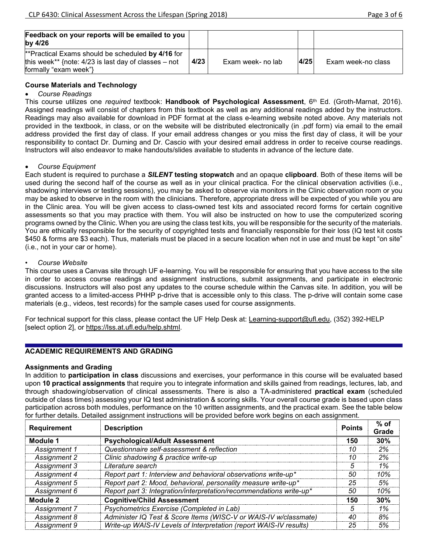| Feedback on your reports will be emailed to you<br>by $4/26$                                                                         |      |                   |      |                    |
|--------------------------------------------------------------------------------------------------------------------------------------|------|-------------------|------|--------------------|
| **Practical Exams should be scheduled by 4/16 for<br>this week** {note: $4/23$ is last day of classes – not<br>formally "exam week"} | 4/23 | Exam week- no lab | 4/25 | Exam week-no class |

## **Course Materials and Technology**

### • *Course Readings*

This course utilizes one *required* textbook: **Handbook of Psychological Assessment**, 6th Ed. (Groth-Marnat, 2016). Assigned readings will consist of chapters from this textbook as well as any additional readings added by the instructors. Readings may also available for download in PDF format at the class e-learning website noted above. Any materials not provided in the textbook, in class, or on the website will be distributed electronically (in .pdf form) via email to the email address provided the first day of class. If your email address changes or you miss the first day of class, it will be your responsibility to contact Dr. Durning and Dr. Cascio with your desired email address in order to receive course readings. Instructors will also endeavor to make handouts/slides available to students in advance of the lecture date.

### • *Course Equipment*

Each student is required to purchase a *SILENT* **testing stopwatch** and an opaque **clipboard**. Both of these items will be used during the second half of the course as well as in your clinical practica. For the clinical observation activities (i.e., shadowing interviews or testing sessions), you may be asked to observe via monitors in the Clinic observation room or you may be asked to observe in the room with the clinicians. Therefore, appropriate dress will be expected of you while you are in the Clinic area. You will be given access to class-owned test kits and associated record forms for certain cognitive assessments so that you may practice with them. You will also be instructed on how to use the computerized scoring programs owned by the Clinic. When you are using the class test kits, you will be responsible for the security of the materials. You are ethically responsible for the security of copyrighted tests and financially responsible for their loss (IQ test kit costs \$450 & forms are \$3 each). Thus, materials must be placed in a secure location when not in use and must be kept "on site" (i.e., not in your car or home).

### • *Course Website*

This course uses a Canvas site through UF e-learning. You will be responsible for ensuring that you have access to the site in order to access course readings and assignment instructions, submit assignments, and participate in electronic discussions. Instructors will also post any updates to the course schedule within the Canvas site. In addition, you will be granted access to a limited-access PHHP p-drive that is accessible only to this class. The p-drive will contain some case materials (e.g., videos, test records) for the sample cases used for course assignments.

For technical support for this class, please contact the UF Help Desk at: Learning-support@ufl.edu, (352) 392-HELP [select option 2], or [https://lss.at.ufl.edu/help.shtml.](https://lss.at.ufl.edu/help.shtml)

## **ACADEMIC REQUIREMENTS AND GRADING**

#### **Assignments and Grading**

In addition to **participation in class** discussions and exercises, your performance in this course will be evaluated based upon **10 practical assignments** that require you to integrate information and skills gained from readings, lectures, lab, and through shadowing/observation of clinical assessments. There is also a TA-administered **practical exam** (scheduled outside of class times) assessing your IQ test administration & scoring skills. Your overall course grade is based upon class participation across both modules, performance on the 10 written assignments, and the practical exam. See the table below for further details. Detailed assignment instructions will be provided before work begins on each assignment.

| <b>Requirement</b> | <b>Description</b>                                                  | <b>Points</b> | % of<br>Grade |
|--------------------|---------------------------------------------------------------------|---------------|---------------|
| Module 1           | <b>Psychological/Adult Assessment</b>                               | 150           | 30%           |
| Assignment 1       | Questionnaire self-assessment & reflection                          |               | 2%            |
| Assignment 2       | Clinic shadowing & practice write-up                                | 10            | 2%            |
| Assignment 3       | Literature search                                                   | h.            | 1%            |
| Assignment 4       | Report part 1: Interview and behavioral observations write-up*      | 50            | 10%           |
| Assignment 5       | Report part 2: Mood, behavioral, personality measure write-up*      | 25            | 5%            |
| Assignment 6       | Report part 3: Integration/interpretation/recommendations write-up* | 50            | 10%           |
| Module 2           | <b>Cognitive/Child Assessment</b>                                   | 150           | 30%           |
| Assignment 7       | Psychometrics Exercise (Completed in Lab)                           | 5             | 1%            |
| Assignment 8       | Administer IQ Test & Score Items (WISC-V or WAIS-IV w/classmate)    | 40            | 8%            |
| Assignment 9       | Write-up WAIS-IV Levels of Interpretation (report WAIS-IV results)  | 25            | 5%            |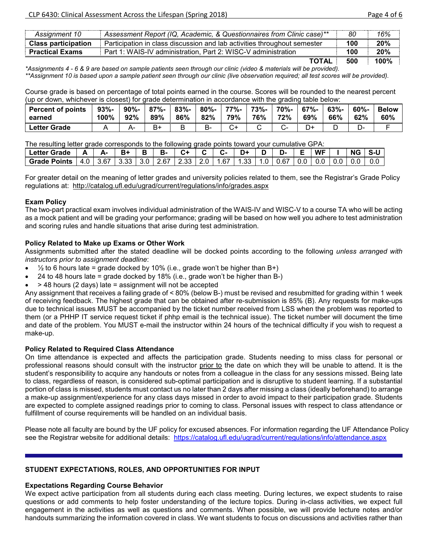| Assignment 10              | Assessment Report (IQ, Academic, & Questionnaires from Clinic case)**    | 80  | 16%  |
|----------------------------|--------------------------------------------------------------------------|-----|------|
| <b>Class participation</b> | Participation in class discussion and lab activities throughout semester | 100 | 20%  |
| <b>Practical Exams</b>     | Part 1: WAIS-IV administration, Part 2: WISC-V administration            | 100 | 20%  |
|                            | TOTAL                                                                    | 500 | 100% |

*\*Assignments 4 - 6 & 9 are based on sample patients seen through our clinic (video & materials will be provided). \*\*Assignment 10 is based upon a sample patient seen through our clinic (live observation required; all test scores will be provided).*

Course grade is based on percentage of total points earned in the course. Scores will be rounded to the nearest percent (up or down, whichever is closest) for grade determination in accordance with the grading table below:

| <b>Percent of points</b> | $93% -$ | $90% -$ | $87% -$ | $83% -$ | $80\%$ - | 77%- | 73%- | 70%- | $67% -$ | $63% -$ | $60% -$ | <b>Below</b> |
|--------------------------|---------|---------|---------|---------|----------|------|------|------|---------|---------|---------|--------------|
| earned                   | 100%    | 92%     | 89%     | 86%     | 82%      | 79%  | 76%  | 72%  | 69%     | 66%     | 62%     | 60%          |
| <b>Letter Grade</b>      |         |         | B+      |         | в-       |      |      |      | D+      |         | -ب      |              |

The resulting letter grade corresponds to the following grade points toward your cumulative GPA:

| <b>Letter Grade</b> |       |      |      |       | в- |             |       | $\sim$ |      |                  | D-   |     | <b>WF</b> |     | <b>NG</b> |                 |
|---------------------|-------|------|------|-------|----|-------------|-------|--------|------|------------------|------|-----|-----------|-----|-----------|-----------------|
| <b>Grade Points</b> | 4.0 I | 3.67 | 3.33 | 3.0 I |    | $2.67$ 2.33 | 2.0 L | 1.67   | 1.33 | 1.0 <sub>1</sub> | 0.67 | 0.0 | $0.0\,$   | 0.0 |           | 0. <sub>C</sub> |

For greater detail on the meaning of letter grades and university policies related to them, see the Registrar's Grade Policy regulations at: <http://catalog.ufl.edu/ugrad/current/regulations/info/grades.aspx>

## **Exam Policy**

The two-part practical exam involves individual administration of the WAIS-IV and WISC-V to a course TA who will be acting as a mock patient and will be grading your performance; grading will be based on how well you adhere to test administration and scoring rules and handle situations that arise during test administration.

## **Policy Related to Make up Exams or Other Work**

Assignments submitted after the stated deadline will be docked points according to the following *unless arranged with instructors prior to assignment deadline*:

- $\frac{1}{2}$  to 6 hours late = grade docked by 10% (i.e., grade won't be higher than B+)
- 24 to 48 hours late = grade docked by 18% (i.e., grade won't be higher than B-)
- > 48 hours (2 days) late = assignment will not be accepted

Any assignment that receives a failing grade of < 80% (below B-) must be revised and resubmitted for grading within 1 week of receiving feedback. The highest grade that can be obtained after re-submission is 85% (B). Any requests for make-ups due to technical issues MUST be accompanied by the ticket number received from LSS when the problem was reported to them (or a PHHP IT service request ticket if phhp email is the technical issue). The ticket number will document the time and date of the problem. You MUST e-mail the instructor within 24 hours of the technical difficulty if you wish to request a make-up.

#### **Policy Related to Required Class Attendance**

On time attendance is expected and affects the participation grade. Students needing to miss class for personal or professional reasons should consult with the instructor prior to the date on which they will be unable to attend. It is the student's responsibility to acquire any handouts or notes from a colleague in the class for any sessions missed. Being late to class, regardless of reason, is considered sub-optimal participation and is disruptive to student learning. If a substantial portion of class is missed, students must contact us no later than 2 days after missing a class (ideally beforehand) to arrange a make-up assignment/experience for any class days missed in order to avoid impact to their participation grade. Students are expected to complete assigned readings prior to coming to class. Personal issues with respect to class attendance or fulfillment of course requirements will be handled on an individual basis.

Please note all faculty are bound by the UF policy for excused absences. For information regarding the UF Attendance Policy see the Registrar website for additional details: <https://catalog.ufl.edu/ugrad/current/regulations/info/attendance.aspx>

#### **STUDENT EXPECTATIONS, ROLES, AND OPPORTUNITIES FOR INPUT**

#### **Expectations Regarding Course Behavior**

We expect active participation from all students during each class meeting. During lectures, we expect students to raise questions or add comments to help foster understanding of the lecture topics. During in-class activities, we expect full engagement in the activities as well as questions and comments. When possible, we will provide lecture notes and/or handouts summarizing the information covered in class. We want students to focus on discussions and activities rather than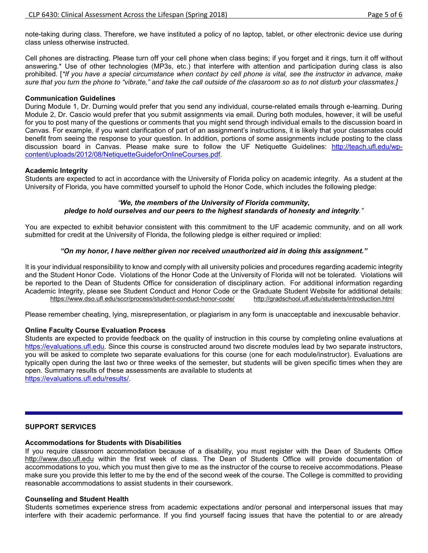note-taking during class. Therefore, we have instituted a policy of no laptop, tablet, or other electronic device use during class unless otherwise instructed.

Cell phones are distracting. Please turn off your cell phone when class begins; if you forget and it rings, turn it off without answering.\* Use of other technologies (MP3s, etc.) that interfere with attention and participation during class is also prohibited. [*\*If you have a special circumstance when contact by cell phone is vital, see the instructor in advance, make sure that you turn the phone to "vibrate," and take the call outside of the classroom so as to not disturb your classmates.]*

#### **Communication Guidelines**

During Module 1, Dr. Durning would prefer that you send any individual, course-related emails through e-learning. During Module 2, Dr. Cascio would prefer that you submit assignments via email. During both modules, however, it will be useful for you to post many of the questions or comments that you might send through individual emails to the discussion board in Canvas. For example, if you want clarification of part of an assignment's instructions, it is likely that your classmates could benefit from seeing the response to your question. In addition, portions of some assignments include posting to the class discussion board in Canvas. Please make sure to follow the UF Netiquette Guidelines: [http://teach.ufl.edu/wp](http://teach.ufl.edu/wp-content/uploads/2012/08/NetiquetteGuideforOnlineCourses.pdf)[content/uploads/2012/08/NetiquetteGuideforOnlineCourses.pdf.](http://teach.ufl.edu/wp-content/uploads/2012/08/NetiquetteGuideforOnlineCourses.pdf)

### **Academic Integrity**

Students are expected to act in accordance with the University of Florida policy on academic integrity. As a student at the University of Florida, you have committed yourself to uphold the Honor Code, which includes the following pledge:

#### *"We, the members of the University of Florida community, pledge to hold ourselves and our peers to the highest standards of honesty and integrity."*

You are expected to exhibit behavior consistent with this commitment to the UF academic community, and on all work submitted for credit at the University of Florida, the following pledge is either required or implied:

### *"On my honor, I have neither given nor received unauthorized aid in doing this assignment."*

It is your individual responsibility to know and comply with all university policies and procedures regarding academic integrity and the Student Honor Code. Violations of the Honor Code at the University of Florida will not be tolerated. Violations will be reported to the Dean of Students Office for consideration of disciplinary action. For additional information regarding Academic Integrity, please see Student Conduct and Honor Code or the Graduate Student Website for additional details:<br>http://gradschool.ufl.edu/students/introduction.html<br>http://gradschool.ufl.edu/students/introduction.htm <https://www.dso.ufl.edu/sccr/process/student-conduct-honor-code/>

Please remember cheating, lying, misrepresentation, or plagiarism in any form is unacceptable and inexcusable behavior.

## **Online Faculty Course Evaluation Process**

Students are expected to provide feedback on the quality of instruction in this course by completing online evaluations at [https://evaluations.ufl.edu.](https://evaluations.ufl.edu/) Since this course is constructed around two discrete modules lead by two separate instructors, you will be asked to complete two separate evaluations for this course (one for each module/instructor). Evaluations are typically open during the last two or three weeks of the semester, but students will be given specific times when they are open. Summary results of these assessments are available to students at [https://evaluations.ufl.edu/results/.](https://evaluations.ufl.edu/results/)

## **SUPPORT SERVICES**

# **Accommodations for Students with Disabilities**

If you require classroom accommodation because of a disability, you must register with the Dean of Students Office [http://www.dso.ufl.edu](http://www.dso.ufl.edu/) within the first week of class. The Dean of Students Office will provide documentation of accommodations to you, which you must then give to me as the instructor of the course to receive accommodations. Please make sure you provide this letter to me by the end of the second week of the course. The College is committed to providing reasonable accommodations to assist students in their coursework.

#### **Counseling and Student Health**

Students sometimes experience stress from academic expectations and/or personal and interpersonal issues that may interfere with their academic performance. If you find yourself facing issues that have the potential to or are already